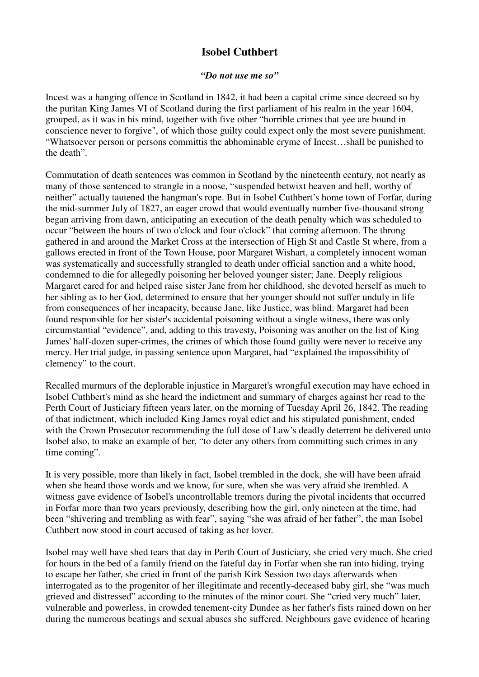## **Isobel Cuthbert**

## *"Do not use me so"*

Incest was a hanging offence in Scotland in 1842, it had been a capital crime since decreed so by the puritan King James VI of Scotland during the first parliament of his realm in the year 1604, grouped, as it was in his mind, together with five other "horrible crimes that yee are bound in conscience never to forgive", of which those guilty could expect only the most severe punishment. "Whatsoever person or persons committis the abhominable cryme of Incest…shall be punished to the death".

Commutation of death sentences was common in Scotland by the nineteenth century, not nearly as many of those sentenced to strangle in a noose, "suspended betwixt heaven and hell, worthy of neither" actually tautened the hangman's rope. But in Isobel Cuthbert's home town of Forfar, during the mid-summer July of 1827, an eager crowd that would eventually number five-thousand strong began arriving from dawn, anticipating an execution of the death penalty which was scheduled to occur "between the hours of two o'clock and four o'clock" that coming afternoon. The throng gathered in and around the Market Cross at the intersection of High St and Castle St where, from a gallows erected in front of the Town House, poor Margaret Wishart, a completely innocent woman was systematically and successfully strangled to death under official sanction and a white hood, condemned to die for allegedly poisoning her beloved younger sister; Jane. Deeply religious Margaret cared for and helped raise sister Jane from her childhood, she devoted herself as much to her sibling as to her God, determined to ensure that her younger should not suffer unduly in life from consequences of her incapacity, because Jane, like Justice, was blind. Margaret had been found responsible for her sister's accidental poisoning without a single witness, there was only circumstantial "evidence", and, adding to this travesty, Poisoning was another on the list of King James' half-dozen super-crimes, the crimes of which those found guilty were never to receive any mercy. Her trial judge, in passing sentence upon Margaret, had "explained the impossibility of clemency" to the court.

Recalled murmurs of the deplorable injustice in Margaret's wrongful execution may have echoed in Isobel Cuthbert's mind as she heard the indictment and summary of charges against her read to the Perth Court of Justiciary fifteen years later, on the morning of Tuesday April 26, 1842. The reading of that indictment, which included King James royal edict and his stipulated punishment, ended with the Crown Prosecutor recommending the full dose of Law's deadly deterrent be delivered unto Isobel also, to make an example of her, "to deter any others from committing such crimes in any time coming".

It is very possible, more than likely in fact, Isobel trembled in the dock, she will have been afraid when she heard those words and we know, for sure, when she was very afraid she trembled. A witness gave evidence of Isobel's uncontrollable tremors during the pivotal incidents that occurred in Forfar more than two years previously, describing how the girl, only nineteen at the time, had been "shivering and trembling as with fear", saying "she was afraid of her father", the man Isobel Cuthbert now stood in court accused of taking as her lover.

Isobel may well have shed tears that day in Perth Court of Justiciary, she cried very much. She cried for hours in the bed of a family friend on the fateful day in Forfar when she ran into hiding, trying to escape her father, she cried in front of the parish Kirk Session two days afterwards when interrogated as to the progenitor of her illegitimate and recently-deceased baby girl, she "was much grieved and distressed" according to the minutes of the minor court. She "cried very much" later, vulnerable and powerless, in crowded tenement-city Dundee as her father's fists rained down on her during the numerous beatings and sexual abuses she suffered. Neighbours gave evidence of hearing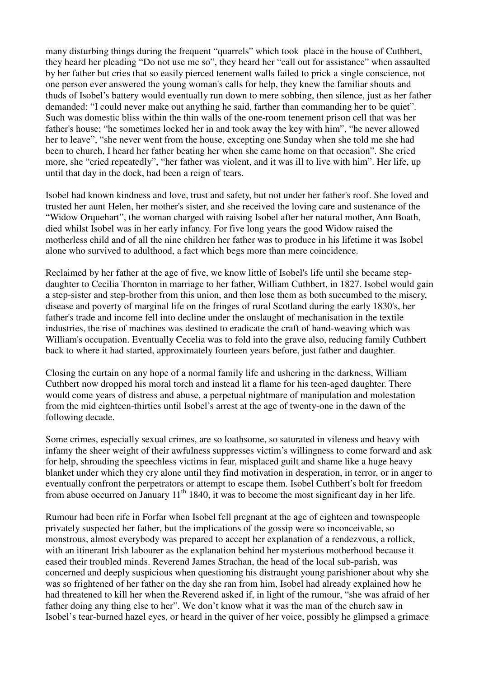many disturbing things during the frequent "quarrels" which took place in the house of Cuthbert, they heard her pleading "Do not use me so", they heard her "call out for assistance" when assaulted by her father but cries that so easily pierced tenement walls failed to prick a single conscience, not one person ever answered the young woman's calls for help, they knew the familiar shouts and thuds of Isobel's battery would eventually run down to mere sobbing, then silence, just as her father demanded: "I could never make out anything he said, farther than commanding her to be quiet". Such was domestic bliss within the thin walls of the one-room tenement prison cell that was her father's house; "he sometimes locked her in and took away the key with him", "he never allowed her to leave", "she never went from the house, excepting one Sunday when she told me she had been to church, I heard her father beating her when she came home on that occasion". She cried more, she "cried repeatedly", "her father was violent, and it was ill to live with him". Her life, up until that day in the dock, had been a reign of tears.

Isobel had known kindness and love, trust and safety, but not under her father's roof. She loved and trusted her aunt Helen, her mother's sister, and she received the loving care and sustenance of the "Widow Orquehart", the woman charged with raising Isobel after her natural mother, Ann Boath, died whilst Isobel was in her early infancy. For five long years the good Widow raised the motherless child and of all the nine children her father was to produce in his lifetime it was Isobel alone who survived to adulthood, a fact which begs more than mere coincidence.

Reclaimed by her father at the age of five, we know little of Isobel's life until she became stepdaughter to Cecilia Thornton in marriage to her father, William Cuthbert, in 1827. Isobel would gain a step-sister and step-brother from this union, and then lose them as both succumbed to the misery, disease and poverty of marginal life on the fringes of rural Scotland during the early 1830's, her father's trade and income fell into decline under the onslaught of mechanisation in the textile industries, the rise of machines was destined to eradicate the craft of hand-weaving which was William's occupation. Eventually Cecelia was to fold into the grave also, reducing family Cuthbert back to where it had started, approximately fourteen years before, just father and daughter.

Closing the curtain on any hope of a normal family life and ushering in the darkness, William Cuthbert now dropped his moral torch and instead lit a flame for his teen-aged daughter. There would come years of distress and abuse, a perpetual nightmare of manipulation and molestation from the mid eighteen-thirties until Isobel's arrest at the age of twenty-one in the dawn of the following decade.

Some crimes, especially sexual crimes, are so loathsome, so saturated in vileness and heavy with infamy the sheer weight of their awfulness suppresses victim's willingness to come forward and ask for help, shrouding the speechless victims in fear, misplaced guilt and shame like a huge heavy blanket under which they cry alone until they find motivation in desperation, in terror, or in anger to eventually confront the perpetrators or attempt to escape them. Isobel Cuthbert's bolt for freedom from abuse occurred on January 11<sup>th</sup> 1840, it was to become the most significant day in her life.

Rumour had been rife in Forfar when Isobel fell pregnant at the age of eighteen and townspeople privately suspected her father, but the implications of the gossip were so inconceivable, so monstrous, almost everybody was prepared to accept her explanation of a rendezvous, a rollick, with an itinerant Irish labourer as the explanation behind her mysterious motherhood because it eased their troubled minds. Reverend James Strachan, the head of the local sub-parish, was concerned and deeply suspicious when questioning his distraught young parishioner about why she was so frightened of her father on the day she ran from him, Isobel had already explained how he had threatened to kill her when the Reverend asked if, in light of the rumour, "she was afraid of her father doing any thing else to her". We don't know what it was the man of the church saw in Isobel's tear-burned hazel eyes, or heard in the quiver of her voice, possibly he glimpsed a grimace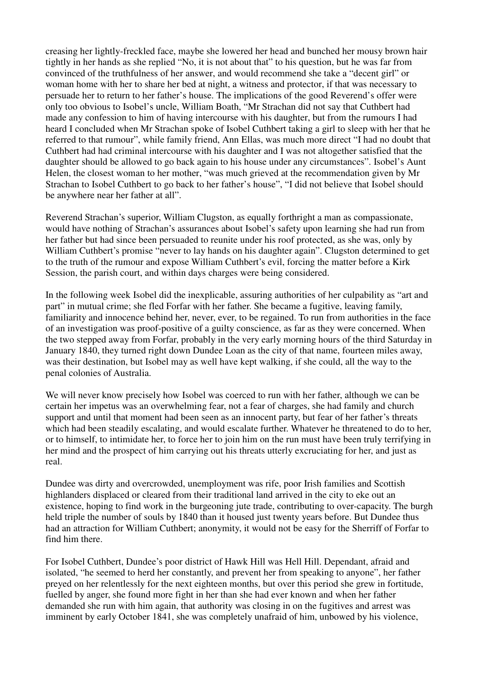creasing her lightly-freckled face, maybe she lowered her head and bunched her mousy brown hair tightly in her hands as she replied "No, it is not about that" to his question, but he was far from convinced of the truthfulness of her answer, and would recommend she take a "decent girl" or woman home with her to share her bed at night, a witness and protector, if that was necessary to persuade her to return to her father's house. The implications of the good Reverend's offer were only too obvious to Isobel's uncle, William Boath, "Mr Strachan did not say that Cuthbert had made any confession to him of having intercourse with his daughter, but from the rumours I had heard I concluded when Mr Strachan spoke of Isobel Cuthbert taking a girl to sleep with her that he referred to that rumour", while family friend, Ann Ellas, was much more direct "I had no doubt that Cuthbert had had criminal intercourse with his daughter and I was not altogether satisfied that the daughter should be allowed to go back again to his house under any circumstances". Isobel's Aunt Helen, the closest woman to her mother, "was much grieved at the recommendation given by Mr Strachan to Isobel Cuthbert to go back to her father's house", "I did not believe that Isobel should be anywhere near her father at all".

Reverend Strachan's superior, William Clugston, as equally forthright a man as compassionate, would have nothing of Strachan's assurances about Isobel's safety upon learning she had run from her father but had since been persuaded to reunite under his roof protected, as she was, only by William Cuthbert's promise "never to lay hands on his daughter again". Clugston determined to get to the truth of the rumour and expose William Cuthbert's evil, forcing the matter before a Kirk Session, the parish court, and within days charges were being considered.

In the following week Isobel did the inexplicable, assuring authorities of her culpability as "art and part" in mutual crime; she fled Forfar with her father. She became a fugitive, leaving family, familiarity and innocence behind her, never, ever, to be regained. To run from authorities in the face of an investigation was proof-positive of a guilty conscience, as far as they were concerned. When the two stepped away from Forfar, probably in the very early morning hours of the third Saturday in January 1840, they turned right down Dundee Loan as the city of that name, fourteen miles away, was their destination, but Isobel may as well have kept walking, if she could, all the way to the penal colonies of Australia.

We will never know precisely how Isobel was coerced to run with her father, although we can be certain her impetus was an overwhelming fear, not a fear of charges, she had family and church support and until that moment had been seen as an innocent party, but fear of her father's threats which had been steadily escalating, and would escalate further. Whatever he threatened to do to her, or to himself, to intimidate her, to force her to join him on the run must have been truly terrifying in her mind and the prospect of him carrying out his threats utterly excruciating for her, and just as real.

Dundee was dirty and overcrowded, unemployment was rife, poor Irish families and Scottish highlanders displaced or cleared from their traditional land arrived in the city to eke out an existence, hoping to find work in the burgeoning jute trade, contributing to over-capacity. The burgh held triple the number of souls by 1840 than it housed just twenty years before. But Dundee thus had an attraction for William Cuthbert; anonymity, it would not be easy for the Sherriff of Forfar to find him there.

For Isobel Cuthbert, Dundee's poor district of Hawk Hill was Hell Hill. Dependant, afraid and isolated, "he seemed to herd her constantly, and prevent her from speaking to anyone", her father preyed on her relentlessly for the next eighteen months, but over this period she grew in fortitude, fuelled by anger, she found more fight in her than she had ever known and when her father demanded she run with him again, that authority was closing in on the fugitives and arrest was imminent by early October 1841, she was completely unafraid of him, unbowed by his violence,